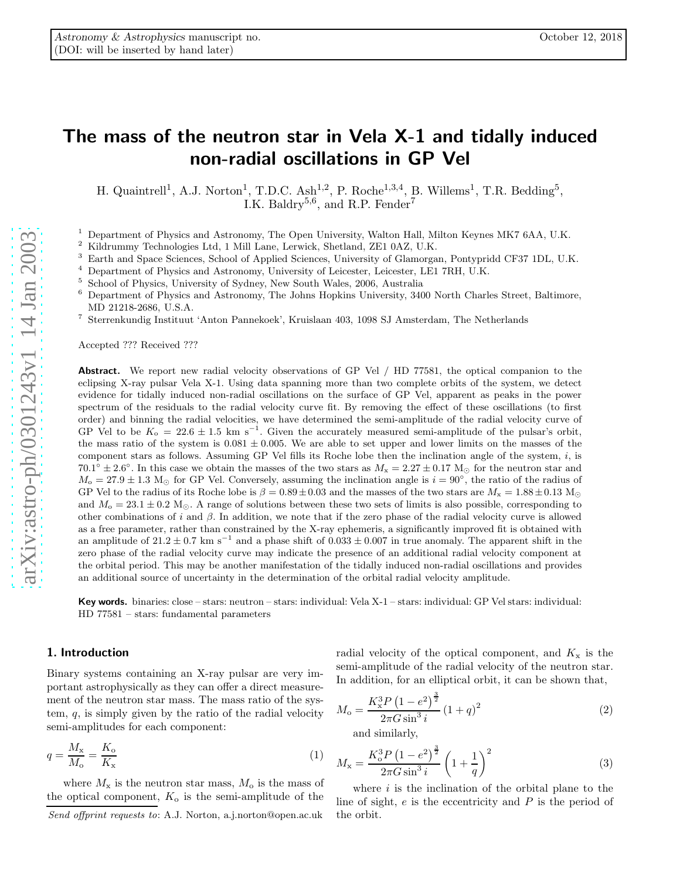# The mass of the neutron star in Vela X-1 and tidally induced non-radial oscillations in GP Vel

H. Quaintrell<sup>1</sup>, A.J. Norton<sup>1</sup>, T.D.C. Ash<sup>1,2</sup>, P. Roche<sup>1,3,4</sup>, B. Willems<sup>1</sup>, T.R. Bedding<sup>5</sup>, I.K. Baldry<sup>5,6</sup>, and R.P. Fender<sup>7</sup>

 $^1$  Department of Physics and Astronomy, The Open University, Walton Hall, Milton Keynes MK7 6AA, U.K.  $^2$  Kildrummy Technologies Ltd, 1 Mill Lane, Lerwick, Shetland, ZE1 0AZ, U.K.  $^3$  Earth and Space Sciences, School

- 
- 
- 
- MD 21218-2686, U.S.A.
- <sup>7</sup> Sterrenkundig Instituut 'Anton Pannekoek', Kruislaan 403, 1098 SJ Amsterdam, The Netherlands

Accepted ??? Received ???

Abstract. We report new radial velocity observations of GP Vel / HD 77581, the optical companion to the eclipsing X-ray pulsar Vela X-1. Using data spanning more than two complete orbits of the system, we detect evidence for tidally induced non-radial oscillations on the surface of GP Vel, apparent as peaks in the power spectrum of the residuals to the radial velocity curve fit. By removing the effect of these oscillations (to first order) and binning the radial velocities, we have determined the semi-amplitude of the radial velocity curve of GP Vel to be  $K_0 = 22.6 \pm 1.5$  km s<sup>-1</sup>. Given the accurately measured semi-amplitude of the pulsar's orbit, the mass ratio of the system is  $0.081 \pm 0.005$ . We are able to set upper and lower limits on the masses of the component stars as follows. Assuming GP Vel fills its Roche lobe then the inclination angle of the system, i, is  $70.1^{\circ} \pm 2.6^{\circ}$ . In this case we obtain the masses of the two stars as  $M_x = 2.27 \pm 0.17$  M<sub>o</sub> for the neutron star and  $M_{\rm o} = 27.9 \pm 1.3$  M<sub>☉</sub> for GP Vel. Conversely, assuming the inclination angle is  $i = 90^{\circ}$ , the ratio of the radius of GP Vel to the radius of its Roche lobe is  $\beta = 0.89 \pm 0.03$  and the masses of the two stars are  $M_x = 1.88 \pm 0.13$  M<sub>o</sub> and  $M_0 = 23.1 \pm 0.2$  M<sub>O</sub>. A range of solutions between these two sets of limits is also possible, corresponding to other combinations of i and  $\beta$ . In addition, we note that if the zero phase of the radial velocity curve is allowed as a free parameter, rather than constrained by the X-ray ephemeris, a significantly improved fit is obtained with an amplitude of  $21.2 \pm 0.7$  km s<sup>-1</sup> and a phase shift of  $0.033 \pm 0.007$  in true anomaly. The apparent shift in the zero phase of the radial velocity curve may indicate the presence of an additional radial velocity component at the orbital period. This may be another manifestation of the tidally induced non-radial oscillations and provides an additional source of uncertainty in the determination of the orbital radial velocity amplitude.

Key words. binaries: close – stars: neutron – stars: individual: Vela X-1 – stars: individual: GP Vel stars: individual: HD 77581 – stars: fundamental parameters

## 1. Introduction

Binary systems containing an X-ray pulsar are very important astrophysically as they can offer a direct measurement of the neutron star mass. The mass ratio of the system,  $q$ , is simply given by the ratio of the radial velocity semi-amplitudes for each component:

$$
q = \frac{M_{\rm x}}{M_{\rm o}} = \frac{K_{\rm o}}{K_{\rm x}}\tag{1}
$$

where  $M_{\rm x}$  is the neutron star mass,  $M_{\rm o}$  is the mass of the optical component,  $K_0$  is the semi-amplitude of the

radial velocity of the optical component, and  $K_x$  is the semi-amplitude of the radial velocity of the neutron star. In addition, for an elliptical orbit, it can be shown that,

$$
M_{\rm o} = \frac{K_{\rm x}^3 P (1 - e^2)^{\frac{3}{2}}}{2\pi G \sin^3 i} (1 + q)^2
$$
 (2)

and similarly,

$$
M_{\rm x} = \frac{K_{\rm o}^3 P (1 - e^2)^{\frac{3}{2}}}{2\pi G \sin^3 i} \left(1 + \frac{1}{q}\right)^2 \tag{3}
$$

where  $i$  is the inclination of the orbital plane to the line of sight,  $e$  is the eccentricity and  $P$  is the period of the orbit.

Send offprint requests to: A.J. Norton, a.j.norton@open.ac.uk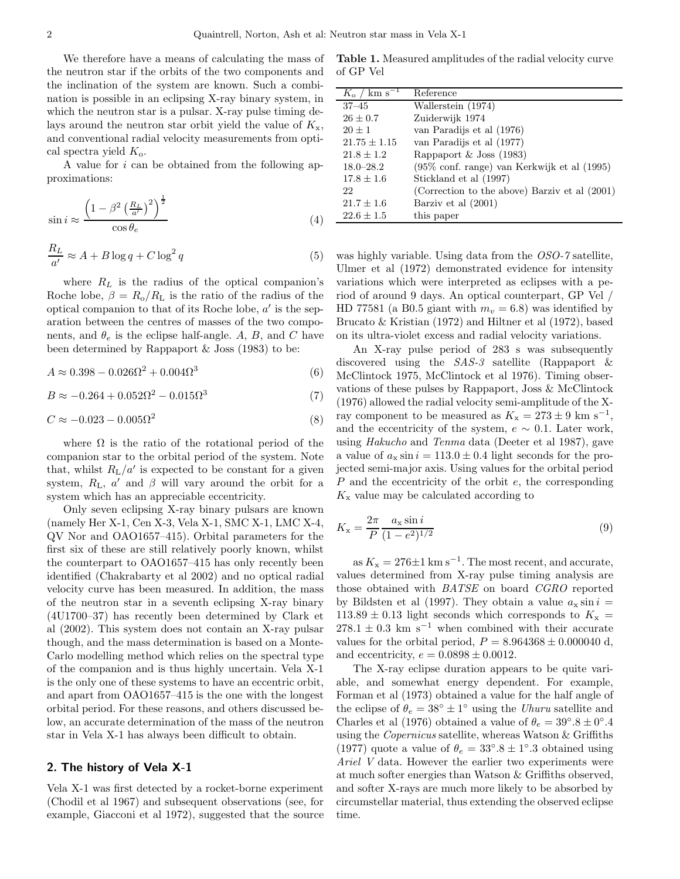We therefore have a means of calculating the mass of the neutron star if the orbits of the two components and the inclination of the system are known. Such a combination is possible in an eclipsing X-ray binary system, in which the neutron star is a pulsar. X-ray pulse timing delays around the neutron star orbit yield the value of  $K_{x}$ , and conventional radial velocity measurements from optical spectra yield  $K_{\rm o}$ .

A value for i can be obtained from the following approximations:

$$
\sin i \approx \frac{\left(1 - \beta^2 \left(\frac{R_L}{a'}\right)^2\right)^{\frac{1}{2}}}{\cos \theta_e} \tag{4}
$$

$$
\frac{R_L}{a'} \approx A + B \log q + C \log^2 q \tag{5}
$$

where  $R_L$  is the radius of the optical companion's Roche lobe,  $\beta = R_0/R_L$  is the ratio of the radius of the optical companion to that of its Roche lobe,  $a'$  is the separation between the centres of masses of the two components, and  $\theta_e$  is the eclipse half-angle. A, B, and C have been determined by Rappaport  $\&$  Joss (1983) to be:

$$
A \approx 0.398 - 0.026\Omega^2 + 0.004\Omega^3
$$
\n(6)

 $B \approx -0.264 + 0.052\Omega^2 - 0.015\Omega^3$ (7)

$$
C \approx -0.023 - 0.005\Omega^2 \tag{8}
$$

where  $\Omega$  is the ratio of the rotational period of the companion star to the orbital period of the system. Note that, whilst  $R_{\text{L}}/a'$  is expected to be constant for a given system,  $R_{\text{L}}$ ,  $a'$  and  $\beta$  will vary around the orbit for a system which has an appreciable eccentricity.

Only seven eclipsing X-ray binary pulsars are known (namely Her X-1, Cen X-3, Vela X-1, SMC X-1, LMC X-4, QV Nor and OAO1657–415). Orbital parameters for the first six of these are still relatively poorly known, whilst the counterpart to OAO1657–415 has only recently been identified (Chakrabarty et al 2002) and no optical radial velocity curve has been measured. In addition, the mass of the neutron star in a seventh eclipsing X-ray binary (4U1700–37) has recently been determined by Clark et al (2002). This system does not contain an X-ray pulsar though, and the mass determination is based on a Monte-Carlo modelling method which relies on the spectral type of the companion and is thus highly uncertain. Vela X-1 is the only one of these systems to have an eccentric orbit, and apart from OAO1657–415 is the one with the longest orbital period. For these reasons, and others discussed below, an accurate determination of the mass of the neutron star in Vela X-1 has always been difficult to obtain.

## 2. The history of Vela X-1

Vela X-1 was first detected by a rocket-borne experiment (Chodil et al 1967) and subsequent observations (see, for example, Giacconi et al 1972), suggested that the source

Table 1. Measured amplitudes of the radial velocity curve of GP Vel

| $K_{\rm o}$ / km s <sup>-</sup> | Reference                                       |
|---------------------------------|-------------------------------------------------|
| $37 - 45$                       | Wallerstein (1974)                              |
| $26 \pm 0.7$                    | Zuiderwijk 1974                                 |
| $20 \pm 1$                      | van Paradijs et al (1976)                       |
| $21.75 \pm 1.15$                | van Paradijs et al (1977)                       |
| $21.8 \pm 1.2$                  | Rappaport & Joss $(1983)$                       |
| $18.0 - 28.2$                   | (95% conf. range) van Kerkwijk et al (1995)     |
| $17.8 \pm 1.6$                  | Stickland et al (1997)                          |
| 22                              | (Correction to the above) Barziv et al $(2001)$ |
| $21.7 \pm 1.6$                  | Barziv et al (2001)                             |
| $22.6 \pm 1.5$                  | this paper                                      |

was highly variable. Using data from the OSO-7 satellite, Ulmer et al (1972) demonstrated evidence for intensity variations which were interpreted as eclipses with a period of around 9 days. An optical counterpart, GP Vel / HD 77581 (a B0.5 giant with  $m_v = 6.8$ ) was identified by Brucato & Kristian (1972) and Hiltner et al (1972), based on its ultra-violet excess and radial velocity variations.

An X-ray pulse period of 283 s was subsequently discovered using the SAS-3 satellite (Rappaport & McClintock 1975, McClintock et al 1976). Timing observations of these pulses by Rappaport, Joss & McClintock (1976) allowed the radial velocity semi-amplitude of the Xray component to be measured as  $K_{\rm x} = 273 \pm 9$  km s<sup>-1</sup>, and the eccentricity of the system,  $e \sim 0.1$ . Later work, using Hakucho and Tenma data (Deeter et al 1987), gave a value of  $a_x \sin i = 113.0 \pm 0.4$  light seconds for the projected semi-major axis. Using values for the orbital period P and the eccentricity of the orbit e, the corresponding  $K_{\rm x}$  value may be calculated according to

$$
K_{\rm x} = \frac{2\pi}{P} \frac{a_{\rm x} \sin i}{(1 - e^2)^{1/2}}\tag{9}
$$

as  $K_{\rm x} = 276 \pm 1~{\rm km~s^{-1}}$ . The most recent, and accurate, values determined from X-ray pulse timing analysis are those obtained with BATSE on board CGRO reported by Bildsten et al (1997). They obtain a value  $a_x \sin i =$  $113.89 \pm 0.13$  light seconds which corresponds to  $K_{\rm x}$  =  $278.1 \pm 0.3$  km s<sup>-1</sup> when combined with their accurate values for the orbital period,  $P = 8.964368 \pm 0.000040$  d, and eccentricity,  $e = 0.0898 \pm 0.0012$ .

The X-ray eclipse duration appears to be quite variable, and somewhat energy dependent. For example, Forman et al (1973) obtained a value for the half angle of the eclipse of  $\theta_e = 38^\circ \pm 1^\circ$  using the Uhuru satellite and Charles et al (1976) obtained a value of  $\theta_e = 39^\circ.8 \pm 0^\circ.4$ using the Copernicus satellite, whereas Watson & Griffiths (1977) quote a value of  $\theta_e = 33^\circ.8 \pm 1^\circ.3$  obtained using Ariel V data. However the earlier two experiments were at much softer energies than Watson & Griffiths observed, and softer X-rays are much more likely to be absorbed by circumstellar material, thus extending the observed eclipse time.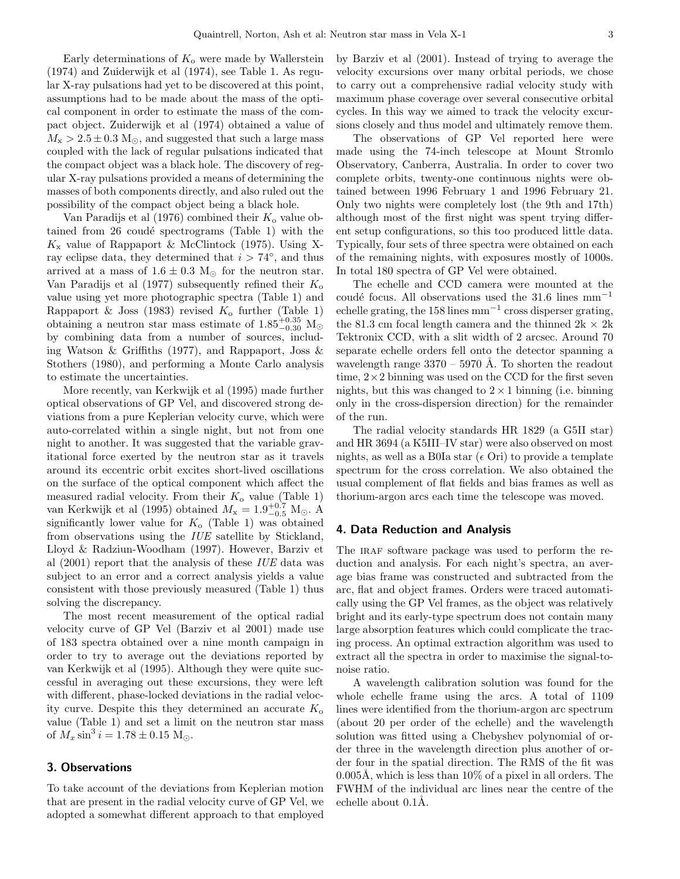Early determinations of  $K_0$  were made by Wallerstein (1974) and Zuiderwijk et al (1974), see Table 1. As regular X-ray pulsations had yet to be discovered at this point, assumptions had to be made about the mass of the optical component in order to estimate the mass of the compact object. Zuiderwijk et al (1974) obtained a value of  $M_{\rm x} > 2.5 \pm 0.3$  M<sub> $\odot$ </sub>, and suggested that such a large mass coupled with the lack of regular pulsations indicated that the compact object was a black hole. The discovery of regular X-ray pulsations provided a means of determining the masses of both components directly, and also ruled out the possibility of the compact object being a black hole.

Van Paradijs et al (1976) combined their  $K_0$  value obtained from  $26$  coudé spectrograms (Table 1) with the  $K_{\rm x}$  value of Rappaport & McClintock (1975). Using Xray eclipse data, they determined that  $i > 74^{\circ}$ , and thus arrived at a mass of  $1.6 \pm 0.3$  M<sub>☉</sub> for the neutron star. Van Paradijs et al (1977) subsequently refined their  $K_0$ value using yet more photographic spectra (Table 1) and Rappaport & Joss (1983) revised  $K_0$  further (Table 1) obtaining a neutron star mass estimate of  $1.85_{-0.30}^{+0.35}$  M<sub>☉</sub> by combining data from a number of sources, including Watson & Griffiths (1977), and Rappaport, Joss & Stothers (1980), and performing a Monte Carlo analysis to estimate the uncertainties.

More recently, van Kerkwijk et al (1995) made further optical observations of GP Vel, and discovered strong deviations from a pure Keplerian velocity curve, which were auto-correlated within a single night, but not from one night to another. It was suggested that the variable gravitational force exerted by the neutron star as it travels around its eccentric orbit excites short-lived oscillations on the surface of the optical component which affect the measured radial velocity. From their  $K_0$  value (Table 1) van Kerkwijk et al (1995) obtained  $M_x = 1.9^{+0.7}_{-0.5}$  M<sub>☉</sub>. A significantly lower value for  $K_{\rm o}$  (Table 1) was obtained from observations using the IUE satellite by Stickland, Lloyd & Radziun-Woodham (1997). However, Barziv et al (2001) report that the analysis of these IUE data was subject to an error and a correct analysis yields a value consistent with those previously measured (Table 1) thus solving the discrepancy.

The most recent measurement of the optical radial velocity curve of GP Vel (Barziv et al 2001) made use of 183 spectra obtained over a nine month campaign in order to try to average out the deviations reported by van Kerkwijk et al (1995). Although they were quite successful in averaging out these excursions, they were left with different, phase-locked deviations in the radial velocity curve. Despite this they determined an accurate  $K_{\rm o}$ value (Table 1) and set a limit on the neutron star mass of  $M_x \sin^3 i = 1.78 \pm 0.15$  M<sub>o</sub>.

## 3. Observations

To take account of the deviations from Keplerian motion that are present in the radial velocity curve of GP Vel, we adopted a somewhat different approach to that employed

by Barziv et al (2001). Instead of trying to average the velocity excursions over many orbital periods, we chose to carry out a comprehensive radial velocity study with maximum phase coverage over several consecutive orbital cycles. In this way we aimed to track the velocity excursions closely and thus model and ultimately remove them.

The observations of GP Vel reported here were made using the 74-inch telescope at Mount Stromlo Observatory, Canberra, Australia. In order to cover two complete orbits, twenty-one continuous nights were obtained between 1996 February 1 and 1996 February 21. Only two nights were completely lost (the 9th and 17th) although most of the first night was spent trying different setup configurations, so this too produced little data. Typically, four sets of three spectra were obtained on each of the remaining nights, with exposures mostly of 1000s. In total 180 spectra of GP Vel were obtained.

The echelle and CCD camera were mounted at the coudé focus. All observations used the 31.6 lines  $mm^{-1}$ echelle grating, the 158 lines mm−<sup>1</sup> cross disperser grating, the 81.3 cm focal length camera and the thinned  $2k \times 2k$ Tektronix CCD, with a slit width of 2 arcsec. Around 70 separate echelle orders fell onto the detector spanning a wavelength range  $3370 - 5970$  Å. To shorten the readout time,  $2 \times 2$  binning was used on the CCD for the first seven nights, but this was changed to  $2 \times 1$  binning (i.e. binning only in the cross-dispersion direction) for the remainder of the run.

The radial velocity standards HR 1829 (a G5II star) and HR 3694 (a K5III–IV star) were also observed on most nights, as well as a B0Ia star ( $\epsilon$  Ori) to provide a template spectrum for the cross correlation. We also obtained the usual complement of flat fields and bias frames as well as thorium-argon arcs each time the telescope was moved.

## 4. Data Reduction and Analysis

The IRAF software package was used to perform the reduction and analysis. For each night's spectra, an average bias frame was constructed and subtracted from the arc, flat and object frames. Orders were traced automatically using the GP Vel frames, as the object was relatively bright and its early-type spectrum does not contain many large absorption features which could complicate the tracing process. An optimal extraction algorithm was used to extract all the spectra in order to maximise the signal-tonoise ratio.

A wavelength calibration solution was found for the whole echelle frame using the arcs. A total of 1109 lines were identified from the thorium-argon arc spectrum (about 20 per order of the echelle) and the wavelength solution was fitted using a Chebyshev polynomial of order three in the wavelength direction plus another of order four in the spatial direction. The RMS of the fit was  $0.005\text{\AA}$ , which is less than 10% of a pixel in all orders. The FWHM of the individual arc lines near the centre of the echelle about  $0.1$ Å.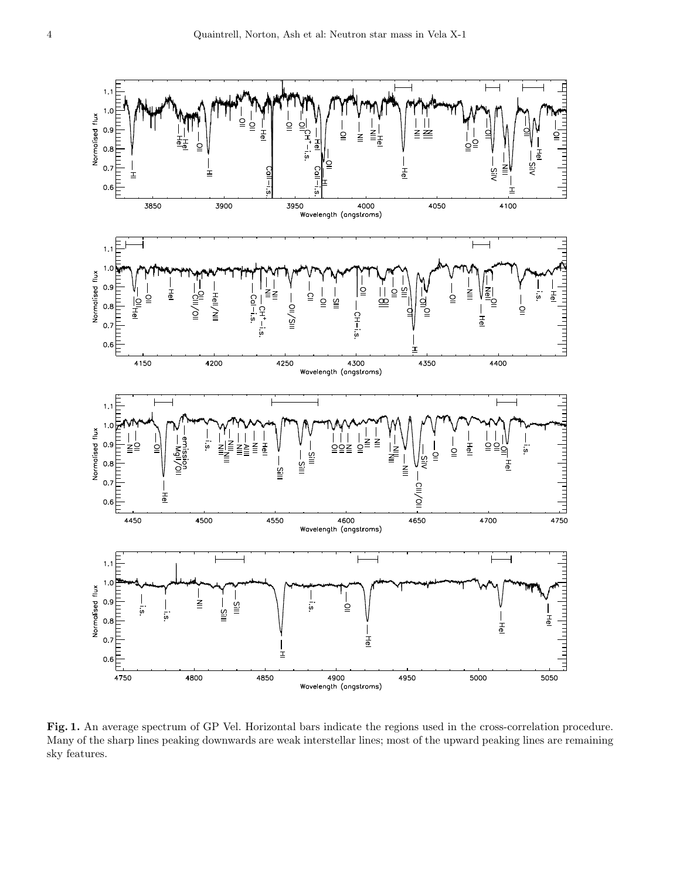

Fig. 1. An average spectrum of GP Vel. Horizontal bars indicate the regions used in the cross-correlation procedure. Many of the sharp lines peaking downwards are weak interstellar lines; most of the upward peaking lines are remaining sky features.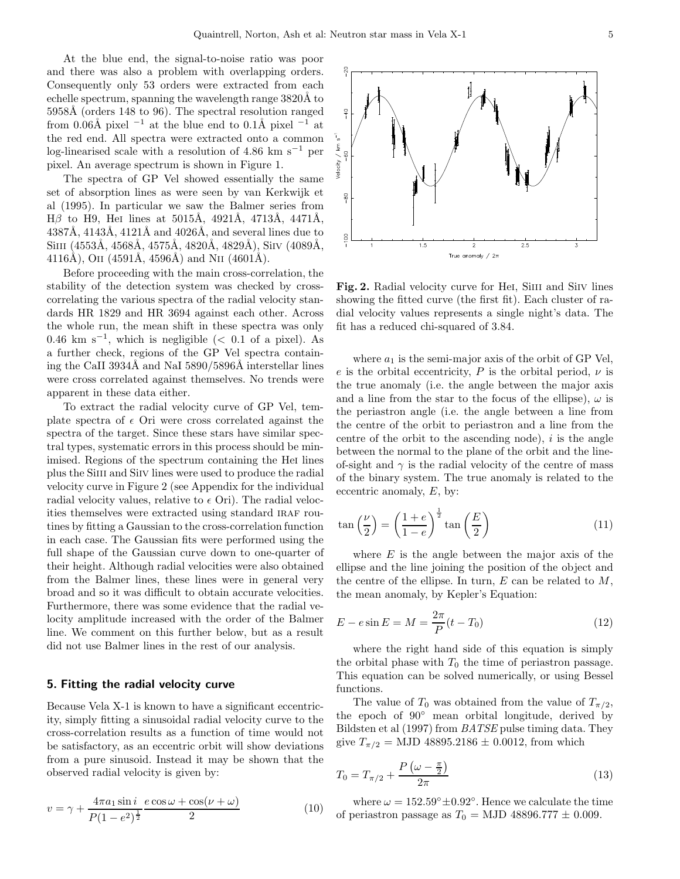At the blue end, the signal-to-noise ratio was poor and there was also a problem with overlapping orders. Consequently only 53 orders were extracted from each echelle spectrum, spanning the wavelength range 3820Å to 5958Å (orders 148 to 96). The spectral resolution ranged from 0.06Å pixel  $^{-1}$  at the blue end to 0.1Å pixel  $^{-1}$  at the red end. All spectra were extracted onto a common log-linearised scale with a resolution of 4.86 km s−<sup>1</sup> per pixel. An average spectrum is shown in Figure 1.

The spectra of GP Vel showed essentially the same set of absorption lines as were seen by van Kerkwijk et al (1995). In particular we saw the Balmer series from Hβ to H9, HeI lines at 5015Å, 4921Å, 4713Å, 4471Å,  $4387\text{\AA}$ ,  $4143\text{\AA}$ ,  $4121\text{\AA}$  and  $4026\text{\AA}$ , and several lines due to SiIII (4553Å, 4568Å, 4575Å, 4820Å, 4829Å), SiIV (4089Å, 4116Å), OII (4591Å, 4596Å) and NII (4601Å).

Before proceeding with the main cross-correlation, the stability of the detection system was checked by crosscorrelating the various spectra of the radial velocity standards HR 1829 and HR 3694 against each other. Across the whole run, the mean shift in these spectra was only 0.46 km s<sup>-1</sup>, which is negligible (< 0.1 of a pixel). As a further check, regions of the GP Vel spectra containing the CaII 3934Å and NaI  $5890/5896\text{\AA}$  interstellar lines were cross correlated against themselves. No trends were apparent in these data either.

To extract the radial velocity curve of GP Vel, template spectra of  $\epsilon$  Ori were cross correlated against the spectra of the target. Since these stars have similar spectral types, systematic errors in this process should be minimised. Regions of the spectrum containing the Hei lines plus the Siiii and Siiv lines were used to produce the radial velocity curve in Figure 2 (see Appendix for the individual radial velocity values, relative to  $\epsilon$  Ori). The radial velocities themselves were extracted using standard IRAF routines by fitting a Gaussian to the cross-correlation function in each case. The Gaussian fits were performed using the full shape of the Gaussian curve down to one-quarter of their height. Although radial velocities were also obtained from the Balmer lines, these lines were in general very broad and so it was difficult to obtain accurate velocities. Furthermore, there was some evidence that the radial velocity amplitude increased with the order of the Balmer line. We comment on this further below, but as a result did not use Balmer lines in the rest of our analysis.

#### 5. Fitting the radial velocity curve

Because Vela X-1 is known to have a significant eccentricity, simply fitting a sinusoidal radial velocity curve to the cross-correlation results as a function of time would not be satisfactory, as an eccentric orbit will show deviations from a pure sinusoid. Instead it may be shown that the observed radial velocity is given by:

$$
v = \gamma + \frac{4\pi a_1 \sin i}{P(1 - e^2)^{\frac{1}{2}}} \frac{e \cos \omega + \cos(\nu + \omega)}{2}
$$
(10)

Fig. 2. Radial velocity curve for Hei, Siiii and Siiv lines showing the fitted curve (the first fit). Each cluster of radial velocity values represents a single night's data. The fit has a reduced chi-squared of 3.84.

where  $a_1$  is the semi-major axis of the orbit of GP Vel, e is the orbital eccentricity, P is the orbital period,  $\nu$  is the true anomaly (i.e. the angle between the major axis and a line from the star to the focus of the ellipse),  $\omega$  is the periastron angle (i.e. the angle between a line from the centre of the orbit to periastron and a line from the centre of the orbit to the ascending node),  $i$  is the angle between the normal to the plane of the orbit and the lineof-sight and  $\gamma$  is the radial velocity of the centre of mass of the binary system. The true anomaly is related to the eccentric anomaly, E, by:

$$
\tan\left(\frac{\nu}{2}\right) = \left(\frac{1+e}{1-e}\right)^{\frac{1}{2}}\tan\left(\frac{E}{2}\right) \tag{11}
$$

where  $E$  is the angle between the major axis of the ellipse and the line joining the position of the object and the centre of the ellipse. In turn,  $E$  can be related to  $M$ , the mean anomaly, by Kepler's Equation:

$$
E - e \sin E = M = \frac{2\pi}{P}(t - T_0)
$$
\n(12)

where the right hand side of this equation is simply the orbital phase with  $T_0$  the time of periastron passage. This equation can be solved numerically, or using Bessel functions.

The value of  $T_0$  was obtained from the value of  $T_{\pi/2}$ , the epoch of 90◦ mean orbital longitude, derived by Bildsten et al (1997) from BATSE pulse timing data. They give  $T_{\pi/2}$  = MJD 48895.2186 ± 0.0012, from which

$$
T_0 = T_{\pi/2} + \frac{P\left(\omega - \frac{\pi}{2}\right)}{2\pi} \tag{13}
$$

where  $\omega = 152.59^{\circ} \pm 0.92^{\circ}$ . Hence we calculate the time of periastron passage as  $T_0 =$  MJD 48896.777  $\pm$  0.009.

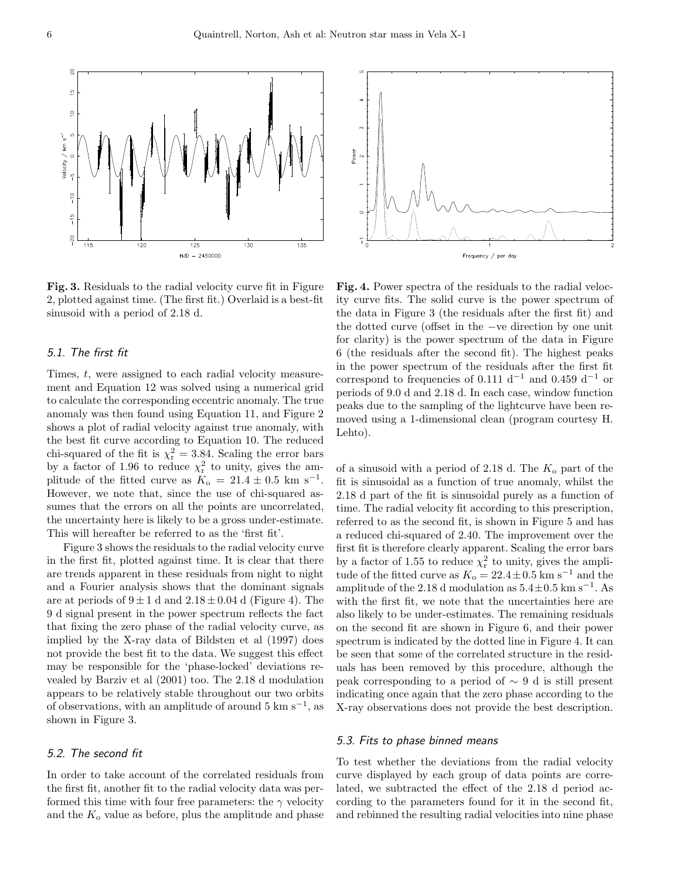

Fig. 3. Residuals to the radial velocity curve fit in Figure 2, plotted against time. (The first fit.) Overlaid is a best-fit sinusoid with a period of 2.18 d.

# 5.1. The first fit

Times, t, were assigned to each radial velocity measurement and Equation 12 was solved using a numerical grid to calculate the corresponding eccentric anomaly. The true anomaly was then found using Equation 11, and Figure 2 shows a plot of radial velocity against true anomaly, with the best fit curve according to Equation 10. The reduced chi-squared of the fit is  $\chi^2_r = 3.84$ . Scaling the error bars by a factor of 1.96 to reduce  $\chi^2_r$  to unity, gives the amplitude of the fitted curve as  $K_0 = 21.4 \pm 0.5$  km s<sup>-1</sup>. However, we note that, since the use of chi-squared assumes that the errors on all the points are uncorrelated, the uncertainty here is likely to be a gross under-estimate. This will hereafter be referred to as the 'first fit'.

Figure 3 shows the residuals to the radial velocity curve in the first fit, plotted against time. It is clear that there are trends apparent in these residuals from night to night and a Fourier analysis shows that the dominant signals are at periods of  $9 \pm 1$  d and  $2.18 \pm 0.04$  d (Figure 4). The 9 d signal present in the power spectrum reflects the fact that fixing the zero phase of the radial velocity curve, as implied by the X-ray data of Bildsten et al (1997) does not provide the best fit to the data. We suggest this effect may be responsible for the 'phase-locked' deviations revealed by Barziv et al (2001) too. The 2.18 d modulation appears to be relatively stable throughout our two orbits of observations, with an amplitude of around  $5 \text{ km s}^{-1}$ , as shown in Figure 3.

## 5.2. The second fit

In order to take account of the correlated residuals from the first fit, another fit to the radial velocity data was performed this time with four free parameters: the  $\gamma$  velocity and the  $K<sub>o</sub>$  value as before, plus the amplitude and phase



Fig. 4. Power spectra of the residuals to the radial velocity curve fits. The solid curve is the power spectrum of the data in Figure 3 (the residuals after the first fit) and the dotted curve (offset in the −ve direction by one unit for clarity) is the power spectrum of the data in Figure 6 (the residuals after the second fit). The highest peaks in the power spectrum of the residuals after the first fit correspond to frequencies of 0.111 d<sup>-1</sup> and 0.459 d<sup>-1</sup> or periods of 9.0 d and 2.18 d. In each case, window function peaks due to the sampling of the lightcurve have been removed using a 1-dimensional clean (program courtesy H. Lehto).

of a sinusoid with a period of 2.18 d. The  $K_0$  part of the fit is sinusoidal as a function of true anomaly, whilst the 2.18 d part of the fit is sinusoidal purely as a function of time. The radial velocity fit according to this prescription, referred to as the second fit, is shown in Figure 5 and has a reduced chi-squared of 2.40. The improvement over the first fit is therefore clearly apparent. Scaling the error bars by a factor of 1.55 to reduce  $\chi^2_r$  to unity, gives the amplitude of the fitted curve as  $K_o = 22.4 \pm 0.5$  km s<sup>-1</sup> and the amplitude of the 2.18 d modulation as  $5.4 \pm 0.5$  km s<sup>-1</sup>. As with the first fit, we note that the uncertainties here are also likely to be under-estimates. The remaining residuals on the second fit are shown in Figure 6, and their power spectrum is indicated by the dotted line in Figure 4. It can be seen that some of the correlated structure in the residuals has been removed by this procedure, although the peak corresponding to a period of  $\sim$  9 d is still present indicating once again that the zero phase according to the X-ray observations does not provide the best description.

#### 5.3. Fits to phase binned means

To test whether the deviations from the radial velocity curve displayed by each group of data points are correlated, we subtracted the effect of the 2.18 d period according to the parameters found for it in the second fit, and rebinned the resulting radial velocities into nine phase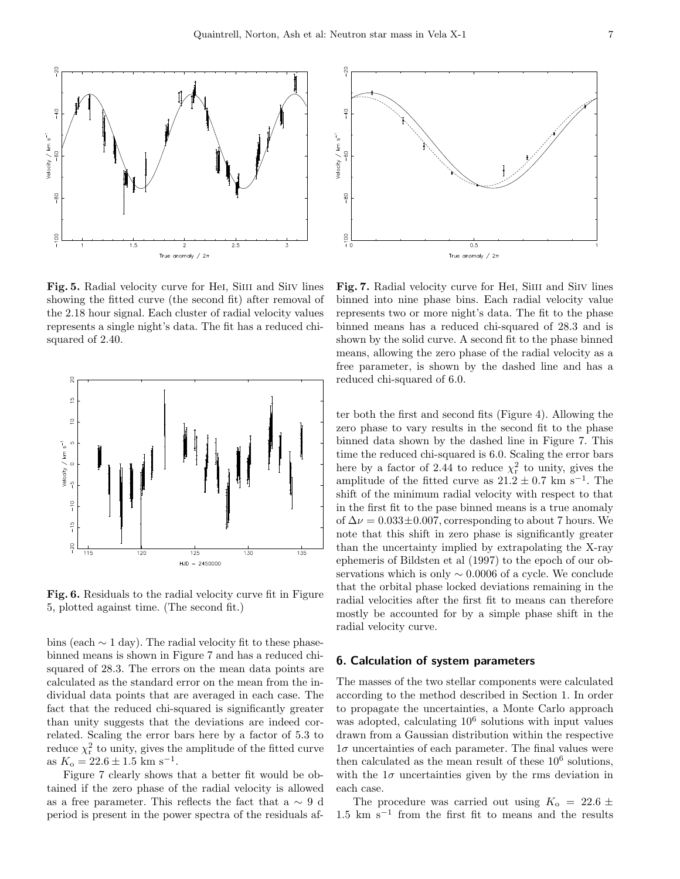

Fig. 5. Radial velocity curve for Hei, Siiii and Siiv lines showing the fitted curve (the second fit) after removal of the 2.18 hour signal. Each cluster of radial velocity values represents a single night's data. The fit has a reduced chisquared of 2.40.



Fig. 6. Residuals to the radial velocity curve fit in Figure 5, plotted against time. (The second fit.)

bins (each  $\sim$  1 day). The radial velocity fit to these phasebinned means is shown in Figure 7 and has a reduced chisquared of 28.3. The errors on the mean data points are calculated as the standard error on the mean from the individual data points that are averaged in each case. The fact that the reduced chi-squared is significantly greater than unity suggests that the deviations are indeed correlated. Scaling the error bars here by a factor of 5.3 to reduce  $\chi^2_r$  to unity, gives the amplitude of the fitted curve as  $K_o = 22.6 \pm 1.5$  km s<sup>-1</sup>.

Figure 7 clearly shows that a better fit would be obtained if the zero phase of the radial velocity is allowed as a free parameter. This reflects the fact that a  $\sim 9$  d period is present in the power spectra of the residuals af-



Fig. 7. Radial velocity curve for Hei, Siiii and Siiv lines binned into nine phase bins. Each radial velocity value represents two or more night's data. The fit to the phase binned means has a reduced chi-squared of 28.3 and is shown by the solid curve. A second fit to the phase binned means, allowing the zero phase of the radial velocity as a free parameter, is shown by the dashed line and has a reduced chi-squared of 6.0.

ter both the first and second fits (Figure 4). Allowing the zero phase to vary results in the second fit to the phase binned data shown by the dashed line in Figure 7. This time the reduced chi-squared is 6.0. Scaling the error bars here by a factor of 2.44 to reduce  $\chi^2_r$  to unity, gives the amplitude of the fitted curve as  $21.2 \pm 0.7$  km s<sup>-1</sup>. The shift of the minimum radial velocity with respect to that in the first fit to the pase binned means is a true anomaly of  $\Delta \nu = 0.033 \pm 0.007$ , corresponding to about 7 hours. We note that this shift in zero phase is significantly greater than the uncertainty implied by extrapolating the X-ray ephemeris of Bildsten et al (1997) to the epoch of our observations which is only  $\sim 0.0006$  of a cycle. We conclude that the orbital phase locked deviations remaining in the radial velocities after the first fit to means can therefore mostly be accounted for by a simple phase shift in the radial velocity curve.

#### 6. Calculation of system parameters

The masses of the two stellar components were calculated according to the method described in Section 1. In order to propagate the uncertainties, a Monte Carlo approach was adopted, calculating  $10^6$  solutions with input values drawn from a Gaussian distribution within the respective  $1\sigma$  uncertainties of each parameter. The final values were then calculated as the mean result of these  $10^6$  solutions, with the  $1\sigma$  uncertainties given by the rms deviation in each case.

The procedure was carried out using  $K_0 = 22.6 \pm 1$  $1.5 \text{ km s}^{-1}$  from the first fit to means and the results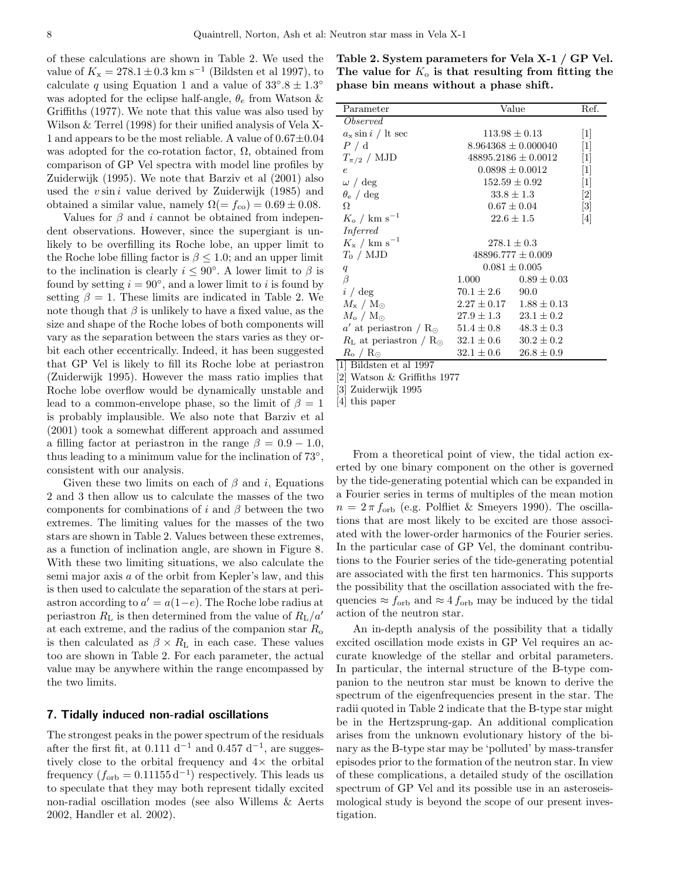of these calculations are shown in Table 2. We used the value of  $K_{\rm x} = 278.1 \pm 0.3$  km s<sup>-1</sup> (Bildsten et al 1997), to calculate q using Equation 1 and a value of  $33^{\circ}.8 \pm 1.3^{\circ}$ was adopted for the eclipse half-angle,  $\theta_e$  from Watson & Griffiths (1977). We note that this value was also used by Wilson & Terrel (1998) for their unified analysis of Vela X-1 and appears to be the most reliable. A value of  $0.67 \pm 0.04$ was adopted for the co-rotation factor,  $\Omega$ , obtained from comparison of GP Vel spectra with model line profiles by Zuiderwijk (1995). We note that Barziv et al (2001) also used the  $v \sin i$  value derived by Zuiderwijk (1985) and obtained a similar value, namely  $\Omega(=f_{\text{co}})=0.69\pm0.08$ .

Values for  $\beta$  and i cannot be obtained from independent observations. However, since the supergiant is unlikely to be overfilling its Roche lobe, an upper limit to the Roche lobe filling factor is  $\beta \leq 1.0$ ; and an upper limit to the inclination is clearly  $i \leq 90^{\circ}$ . A lower limit to  $\beta$  is found by setting  $i = 90^\circ$ , and a lower limit to i is found by setting  $\beta = 1$ . These limits are indicated in Table 2. We note though that  $\beta$  is unlikely to have a fixed value, as the size and shape of the Roche lobes of both components will vary as the separation between the stars varies as they orbit each other eccentrically. Indeed, it has been suggested that GP Vel is likely to fill its Roche lobe at periastron (Zuiderwijk 1995). However the mass ratio implies that Roche lobe overflow would be dynamically unstable and lead to a common-envelope phase, so the limit of  $\beta = 1$ is probably implausible. We also note that Barziv et al (2001) took a somewhat different approach and assumed a filling factor at periastron in the range  $\beta = 0.9 - 1.0$ , thus leading to a minimum value for the inclination of 73°, consistent with our analysis.

Given these two limits on each of  $\beta$  and i, Equations 2 and 3 then allow us to calculate the masses of the two components for combinations of i and  $\beta$  between the two extremes. The limiting values for the masses of the two stars are shown in Table 2. Values between these extremes, as a function of inclination angle, are shown in Figure 8. With these two limiting situations, we also calculate the semi major axis a of the orbit from Kepler's law, and this is then used to calculate the separation of the stars at periastron according to  $a' = a(1-e)$ . The Roche lobe radius at periastron  $R_{\rm L}$  is then determined from the value of  $R_{\rm L}/a'$ at each extreme, and the radius of the companion star  $R_{\rm o}$ is then calculated as  $\beta \times R_{\text{L}}$  in each case. These values too are shown in Table 2. For each parameter, the actual value may be anywhere within the range encompassed by the two limits.

#### 7. Tidally induced non-radial oscillations

The strongest peaks in the power spectrum of the residuals after the first fit, at  $0.111 d^{-1}$  and  $0.457 d^{-1}$ , are suggestively close to the orbital frequency and  $4\times$  the orbital frequency  $(f_{\text{orb}} = 0.11155 \,\text{d}^{-1})$  respectively. This leads us to speculate that they may both represent tidally excited non-radial oscillation modes (see also Willems & Aerts 2002, Handler et al. 2002).

Table 2. System parameters for Vela X-1 / GP Vel. The value for  $K_0$  is that resulting from fitting the phase bin means without a phase shift.

| Parameter                                                                        | Value                           | Ref.                                |                 |  |  |  |
|----------------------------------------------------------------------------------|---------------------------------|-------------------------------------|-----------------|--|--|--|
| <i>Observed</i>                                                                  |                                 |                                     |                 |  |  |  |
| $a_{\rm x} \sin i / \ln \sec$                                                    | $113.98 \pm 0.13$               | $[1]$                               |                 |  |  |  |
| P / d                                                                            | $8.964368 \pm 0.000040$         | $[1]$                               |                 |  |  |  |
| $T_{\pi/2}$ / MJD                                                                | $48895.2186 \pm 0.0012$         |                                     | $[1]$           |  |  |  |
| $\epsilon$                                                                       | $0.0898 \pm 0.0012$             |                                     | $[1]$           |  |  |  |
| $\omega / \text{deg}$                                                            | $152.59 \pm 0.92$               | $[1]$                               |                 |  |  |  |
| $\theta_{\rm e}$ / deg                                                           | $33.8 \pm 1.3$                  |                                     | [2]             |  |  |  |
| Ω                                                                                | $0.67 \pm 0.04$                 |                                     | 3               |  |  |  |
| $K_{\rm o}$ / km s <sup>-1</sup>                                                 | $22.6 \pm 1.5$                  |                                     | $\vert 4 \vert$ |  |  |  |
| Inferred                                                                         |                                 |                                     |                 |  |  |  |
| $K_{\rm x}$ / km s <sup>-1</sup>                                                 | $278.1 \pm 0.3$                 |                                     |                 |  |  |  |
| $T_0 / MJD$                                                                      | $48896.777 \pm 0.009$           |                                     |                 |  |  |  |
| $\boldsymbol{q}$                                                                 | $0.081 \pm 0.005$               |                                     |                 |  |  |  |
| $\beta$                                                                          |                                 | $1.000 \qquad \qquad 0.89 \pm 0.03$ |                 |  |  |  |
| i / deg                                                                          | $70.1 \pm 2.6$ 90.0             |                                     |                 |  |  |  |
| $M_{\rm x}$ / ${\rm M}_{\odot}$                                                  | $2.27 \pm 0.17$ $1.88 \pm 0.13$ |                                     |                 |  |  |  |
| $M_{\rm o}$ / $\rm M_{\odot}$                                                    | $27.9 \pm 1.3$ $23.1 \pm 0.2$   |                                     |                 |  |  |  |
| a' at periastron / R <sub><math>\odot</math></sub> 51.4 $\pm$ 0.8 48.3 $\pm$ 0.3 |                                 |                                     |                 |  |  |  |
| $R_{\rm L}$ at periastron / R <sub>O</sub> $32.1 \pm 0.6$ $30.2 \pm 0.2$         |                                 |                                     |                 |  |  |  |
| $R_{\rm o}$ / $R_{\odot}$                                                        | $32.1 \pm 0.6$ $26.8 \pm 0.9$   |                                     |                 |  |  |  |
| [1] Bildsten et al 1997                                                          |                                 |                                     |                 |  |  |  |

[2] Watson & Griffiths 1977

[3] Zuiderwijk 1995

[4] this paper

From a theoretical point of view, the tidal action exerted by one binary component on the other is governed by the tide-generating potential which can be expanded in a Fourier series in terms of multiples of the mean motion  $n = 2 \pi f_{\rm orb}$  (e.g. Polfliet & Smeyers 1990). The oscillations that are most likely to be excited are those associated with the lower-order harmonics of the Fourier series. In the particular case of GP Vel, the dominant contributions to the Fourier series of the tide-generating potential are associated with the first ten harmonics. This supports the possibility that the oscillation associated with the frequencies  $\approx f_{\rm orb}$  and  $\approx 4 f_{\rm orb}$  may be induced by the tidal action of the neutron star.

An in-depth analysis of the possibility that a tidally excited oscillation mode exists in GP Vel requires an accurate knowledge of the stellar and orbital parameters. In particular, the internal structure of the B-type companion to the neutron star must be known to derive the spectrum of the eigenfrequencies present in the star. The radii quoted in Table 2 indicate that the B-type star might be in the Hertzsprung-gap. An additional complication arises from the unknown evolutionary history of the binary as the B-type star may be 'polluted' by mass-transfer episodes prior to the formation of the neutron star. In view of these complications, a detailed study of the oscillation spectrum of GP Vel and its possible use in an asteroseismological study is beyond the scope of our present investigation.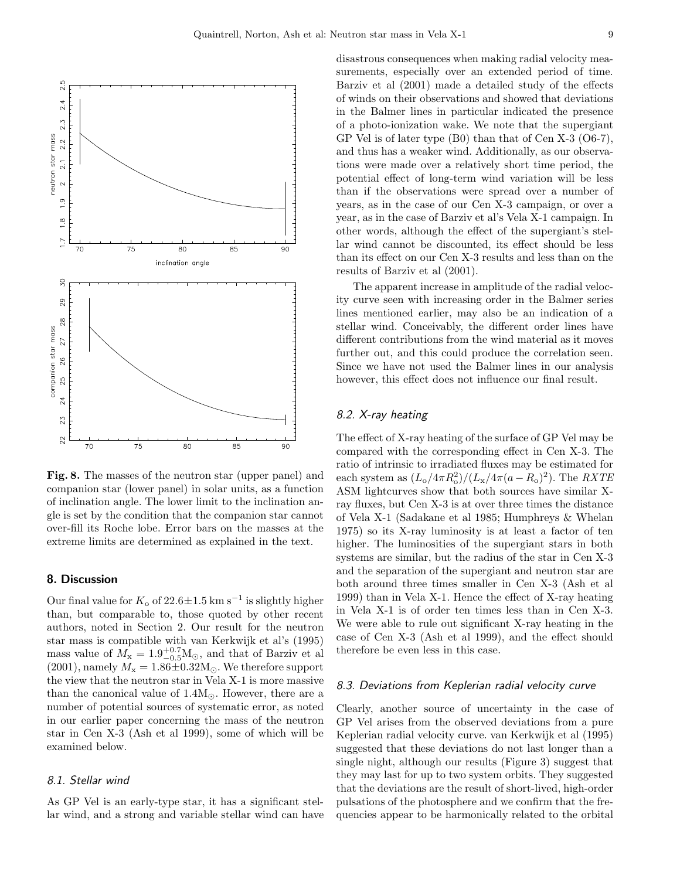

Fig. 8. The masses of the neutron star (upper panel) and companion star (lower panel) in solar units, as a function of inclination angle. The lower limit to the inclination angle is set by the condition that the companion star cannot over-fill its Roche lobe. Error bars on the masses at the extreme limits are determined as explained in the text.

## 8. Discussion

Our final value for  $K_0$  of 22.6 $\pm$ 1.5 km s<sup>-1</sup> is slightly higher than, but comparable to, those quoted by other recent authors, noted in Section 2. Our result for the neutron star mass is compatible with van Kerkwijk et al's (1995) mass value of  $M_{\rm x} = 1.9^{+0.7}_{-0.5}$ M<sub>☉</sub>, and that of Barziv et al (2001), namely  $M_x = 1.86 \pm 0.32 M_{\odot}$ . We therefore support the view that the neutron star in Vela X-1 is more massive than the canonical value of  $1.4M_{\odot}$ . However, there are a number of potential sources of systematic error, as noted in our earlier paper concerning the mass of the neutron star in Cen X-3 (Ash et al 1999), some of which will be examined below.

## 8.1. Stellar wind

As GP Vel is an early-type star, it has a significant stellar wind, and a strong and variable stellar wind can have disastrous consequences when making radial velocity measurements, especially over an extended period of time. Barziv et al (2001) made a detailed study of the effects of winds on their observations and showed that deviations in the Balmer lines in particular indicated the presence of a photo-ionization wake. We note that the supergiant GP Vel is of later type (B0) than that of Cen X-3 (O6-7), and thus has a weaker wind. Additionally, as our observations were made over a relatively short time period, the potential effect of long-term wind variation will be less than if the observations were spread over a number of years, as in the case of our Cen X-3 campaign, or over a year, as in the case of Barziv et al's Vela X-1 campaign. In other words, although the effect of the supergiant's stellar wind cannot be discounted, its effect should be less than its effect on our Cen X-3 results and less than on the results of Barziv et al (2001).

The apparent increase in amplitude of the radial velocity curve seen with increasing order in the Balmer series lines mentioned earlier, may also be an indication of a stellar wind. Conceivably, the different order lines have different contributions from the wind material as it moves further out, and this could produce the correlation seen. Since we have not used the Balmer lines in our analysis however, this effect does not influence our final result.

# 8.2. X-ray heating

The effect of X-ray heating of the surface of GP Vel may be compared with the corresponding effect in Cen X-3. The ratio of intrinsic to irradiated fluxes may be estimated for each system as  $(L_o/4\pi R_o^2)/(L_x/4\pi (a - R_o)^2)$ . The *RXTE* ASM lightcurves show that both sources have similar Xray fluxes, but Cen X-3 is at over three times the distance of Vela X-1 (Sadakane et al 1985; Humphreys & Whelan 1975) so its X-ray luminosity is at least a factor of ten higher. The luminosities of the supergiant stars in both systems are similar, but the radius of the star in Cen X-3 and the separation of the supergiant and neutron star are both around three times smaller in Cen X-3 (Ash et al 1999) than in Vela X-1. Hence the effect of X-ray heating in Vela X-1 is of order ten times less than in Cen X-3. We were able to rule out significant X-ray heating in the case of Cen X-3 (Ash et al 1999), and the effect should therefore be even less in this case.

#### 8.3. Deviations from Keplerian radial velocity curve

Clearly, another source of uncertainty in the case of GP Vel arises from the observed deviations from a pure Keplerian radial velocity curve. van Kerkwijk et al (1995) suggested that these deviations do not last longer than a single night, although our results (Figure 3) suggest that they may last for up to two system orbits. They suggested that the deviations are the result of short-lived, high-order pulsations of the photosphere and we confirm that the frequencies appear to be harmonically related to the orbital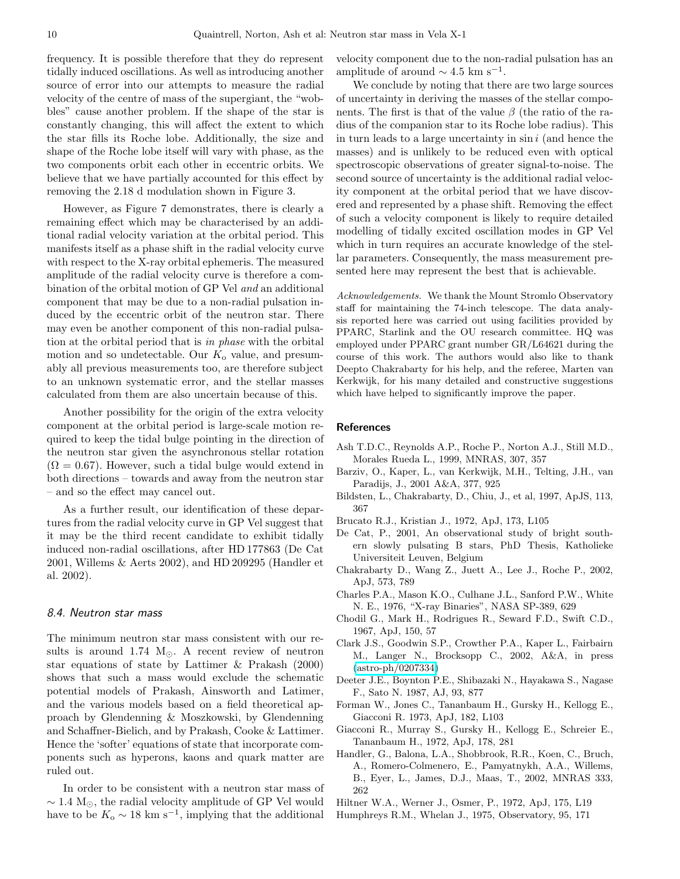frequency. It is possible therefore that they do represent tidally induced oscillations. As well as introducing another source of error into our attempts to measure the radial velocity of the centre of mass of the supergiant, the "wobbles" cause another problem. If the shape of the star is constantly changing, this will affect the extent to which the star fills its Roche lobe. Additionally, the size and shape of the Roche lobe itself will vary with phase, as the two components orbit each other in eccentric orbits. We believe that we have partially accounted for this effect by removing the 2.18 d modulation shown in Figure 3.

However, as Figure 7 demonstrates, there is clearly a remaining effect which may be characterised by an additional radial velocity variation at the orbital period. This manifests itself as a phase shift in the radial velocity curve with respect to the X-ray orbital ephemeris. The measured amplitude of the radial velocity curve is therefore a combination of the orbital motion of GP Vel and an additional component that may be due to a non-radial pulsation induced by the eccentric orbit of the neutron star. There may even be another component of this non-radial pulsation at the orbital period that is in phase with the orbital motion and so undetectable. Our  $K_0$  value, and presumably all previous measurements too, are therefore subject to an unknown systematic error, and the stellar masses calculated from them are also uncertain because of this.

Another possibility for the origin of the extra velocity component at the orbital period is large-scale motion required to keep the tidal bulge pointing in the direction of the neutron star given the asynchronous stellar rotation  $(\Omega = 0.67)$ . However, such a tidal bulge would extend in both directions – towards and away from the neutron star – and so the effect may cancel out.

As a further result, our identification of these departures from the radial velocity curve in GP Vel suggest that it may be the third recent candidate to exhibit tidally induced non-radial oscillations, after HD 177863 (De Cat 2001, Willems & Aerts 2002), and HD 209295 (Handler et al. 2002).

## 8.4. Neutron star mass

The minimum neutron star mass consistent with our results is around 1.74  $M_{\odot}$ . A recent review of neutron star equations of state by Lattimer & Prakash (2000) shows that such a mass would exclude the schematic potential models of Prakash, Ainsworth and Latimer, and the various models based on a field theoretical approach by Glendenning & Moszkowski, by Glendenning and Schaffner-Bielich, and by Prakash, Cooke & Lattimer. Hence the 'softer' equations of state that incorporate components such as hyperons, kaons and quark matter are ruled out.

In order to be consistent with a neutron star mass of  $\sim$  1.4 M<sub>☉</sub>, the radial velocity amplitude of GP Vel would have to be  $K_0 \sim 18 \text{ km s}^{-1}$ , implying that the additional

velocity component due to the non-radial pulsation has an amplitude of around  $\sim 4.5$  km s<sup>-1</sup>.

We conclude by noting that there are two large sources of uncertainty in deriving the masses of the stellar components. The first is that of the value  $\beta$  (the ratio of the radius of the companion star to its Roche lobe radius). This in turn leads to a large uncertainty in  $\sin i$  (and hence the masses) and is unlikely to be reduced even with optical spectroscopic observations of greater signal-to-noise. The second source of uncertainty is the additional radial velocity component at the orbital period that we have discovered and represented by a phase shift. Removing the effect of such a velocity component is likely to require detailed modelling of tidally excited oscillation modes in GP Vel which in turn requires an accurate knowledge of the stellar parameters. Consequently, the mass measurement presented here may represent the best that is achievable.

Acknowledgements. We thank the Mount Stromlo Observatory staff for maintaining the 74-inch telescope. The data analysis reported here was carried out using facilities provided by PPARC, Starlink and the OU research committee. HQ was employed under PPARC grant number GR/L64621 during the course of this work. The authors would also like to thank Deepto Chakrabarty for his help, and the referee, Marten van Kerkwijk, for his many detailed and constructive suggestions which have helped to significantly improve the paper.

#### References

- Ash T.D.C., Reynolds A.P., Roche P., Norton A.J., Still M.D., Morales Rueda L., 1999, MNRAS, 307, 357
- Barziv, O., Kaper, L., van Kerkwijk, M.H., Telting, J.H., van Paradijs, J., 2001 A&A, 377, 925
- Bildsten, L., Chakrabarty, D., Chiu, J., et al, 1997, ApJS, 113, 367
- Brucato R.J., Kristian J., 1972, ApJ, 173, L105
- De Cat, P., 2001, An observational study of bright southern slowly pulsating B stars, PhD Thesis, Katholieke Universiteit Leuven, Belgium
- Chakrabarty D., Wang Z., Juett A., Lee J., Roche P., 2002, ApJ, 573, 789
- Charles P.A., Mason K.O., Culhane J.L., Sanford P.W., White N. E., 1976, "X-ray Binaries", NASA SP-389, 629
- Chodil G., Mark H., Rodrigues R., Seward F.D., Swift C.D., 1967, ApJ, 150, 57
- Clark J.S., Goodwin S.P., Crowther P.A., Kaper L., Fairbairn M., Langer N., Brocksopp C., 2002, A&A, in press [\(astro-ph/0207334\)](http://arxiv.org/abs/astro-ph/0207334)
- Deeter J.E., Boynton P.E., Shibazaki N., Hayakawa S., Nagase F., Sato N. 1987, AJ, 93, 877
- Forman W., Jones C., Tananbaum H., Gursky H., Kellogg E., Giacconi R. 1973, ApJ, 182, L103
- Giacconi R., Murray S., Gursky H., Kellogg E., Schreier E., Tananbaum H., 1972, ApJ, 178, 281
- Handler, G., Balona, L.A., Shobbrook, R.R., Koen, C., Bruch, A., Romero-Colmenero, E., Pamyatnykh, A.A., Willems, B., Eyer, L., James, D.J., Maas, T., 2002, MNRAS 333, 262
- Hiltner W.A., Werner J., Osmer, P., 1972, ApJ, 175, L19
- Humphreys R.M., Whelan J., 1975, Observatory, 95, 171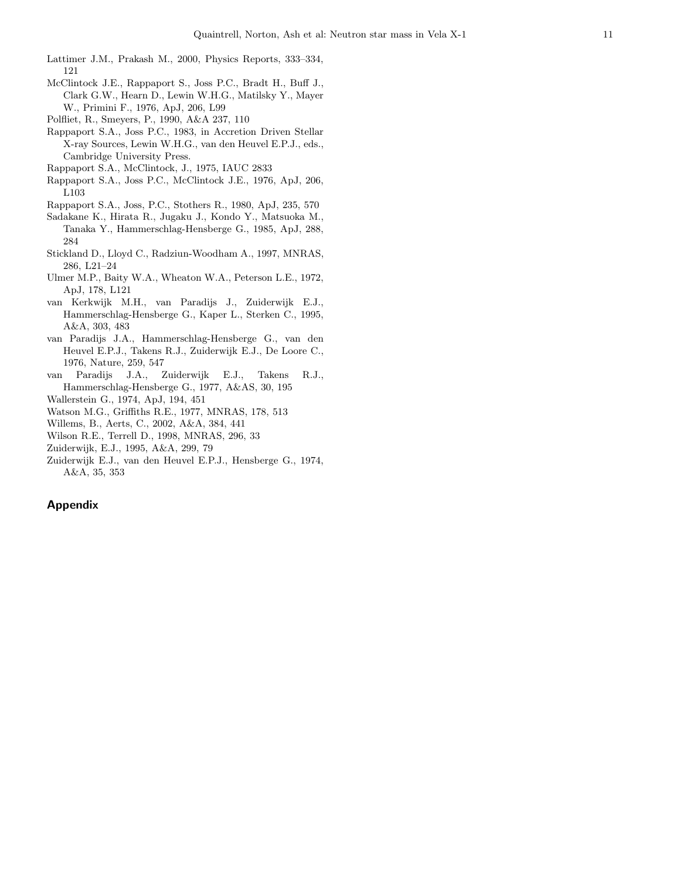- Lattimer J.M., Prakash M., 2000, Physics Reports, 333–334, 121
- McClintock J.E., Rappaport S., Joss P.C., Bradt H., Buff J., Clark G.W., Hearn D., Lewin W.H.G., Matilsky Y., Mayer W., Primini F., 1976, ApJ, 206, L99
- Polfliet, R., Smeyers, P., 1990, A&A 237, 110
- Rappaport S.A., Joss P.C., 1983, in Accretion Driven Stellar X-ray Sources, Lewin W.H.G., van den Heuvel E.P.J., eds., Cambridge University Press.
- Rappaport S.A., McClintock, J., 1975, IAUC 2833
- Rappaport S.A., Joss P.C., McClintock J.E., 1976, ApJ, 206, L103
- Rappaport S.A., Joss, P.C., Stothers R., 1980, ApJ, 235, 570
- Sadakane K., Hirata R., Jugaku J., Kondo Y., Matsuoka M., Tanaka Y., Hammerschlag-Hensberge G., 1985, ApJ, 288, 284
- Stickland D., Lloyd C., Radziun-Woodham A., 1997, MNRAS, 286, L21–24
- Ulmer M.P., Baity W.A., Wheaton W.A., Peterson L.E., 1972, ApJ, 178, L121
- van Kerkwijk M.H., van Paradijs J., Zuiderwijk E.J., Hammerschlag-Hensberge G., Kaper L., Sterken C., 1995, A&A, 303, 483
- van Paradijs J.A., Hammerschlag-Hensberge G., van den Heuvel E.P.J., Takens R.J., Zuiderwijk E.J., De Loore C., 1976, Nature, 259, 547
- van Paradijs J.A., Zuiderwijk E.J., Takens R.J., Hammerschlag-Hensberge G., 1977, A&AS, 30, 195
- Wallerstein G., 1974, ApJ, 194, 451
- Watson M.G., Griffiths R.E., 1977, MNRAS, 178, 513
- Willems, B., Aerts, C., 2002, A&A, 384, 441
- Wilson R.E., Terrell D., 1998, MNRAS, 296, 33
- Zuiderwijk, E.J., 1995, A&A, 299, 79
- Zuiderwijk E.J., van den Heuvel E.P.J., Hensberge G., 1974, A&A, 35, 353

## Appendix